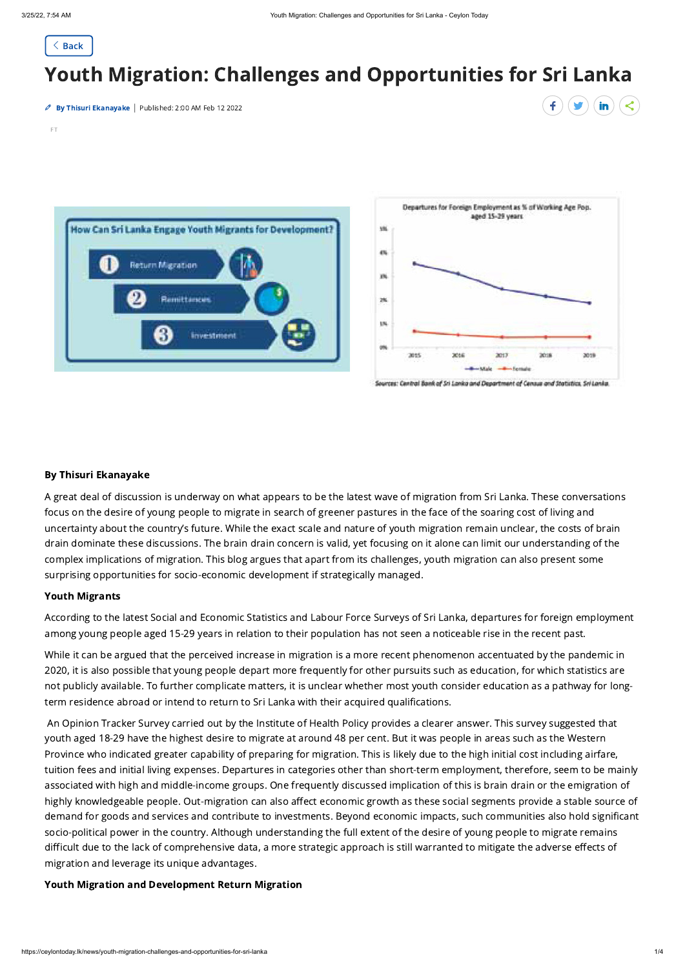

# Youth Migration: Challenges and Opportunities for Sri Lanka

By Thisuri Ekanayake | Published: 2:00 AM Feb 12 2022



#### By Thisuri Ekanayake

A great deal of discussion is underway on what appears to be the latest wave of migration from Sri Lanka. These conversations focus on the desire of young people to migrate in search of greener pastures in the face of the soaring cost of living and uncertainty about the country's future. While the exact scale and nature of youth migration remain unclear, the costs of brain drain dominate these discussions. The brain drain concern is valid, yet focusing on it alone can limit our understanding of the complex implications of migration. This blog argues that apart from its challenges, youth migration can also present some surprising opportunities for socio-economic development if strategically managed.

#### Youth Migrants

According to the latest Social and Economic Statistics and Labour Force Surveys of Sri Lanka, departures for foreign employment among young people aged 15-29 years in relation to their population has not seen a noticeable rise in the recent past.

While it can be argued that the perceived increase in migration is a more recent phenomenon accentuated by the pandemic in 2020, it is also possible that young people depart more frequently for other pursuits such as education, for which statistics are not publicly available. To further complicate matters, it is unclear whether most youth consider education as a pathway for longterm residence abroad or intend to return to Sri Lanka with their acquired qualifications.

An Opinion Tracker Survey carried out by the Institute of Health Policy provides a clearer answer. This survey suggested that

youth aged 18-29 have the highest desire to migrate at around 48 per cent. But it was people in areas such as the Western Province who indicated greater capability of preparing for migration. This is likely due to the high initial cost including airfare, tuition fees and initial living expenses. Departures in categories other than short-term employment, therefore, seem to be mainly associated with high and middle-income groups. One frequently discussed implication of this is brain drain or the emigration of highly knowledgeable people. Out-migration can also affect economic growth as these social segments provide a stable source of demand for goods and services and contribute to investments. Beyond economic impacts, such communities also hold significant socio-political power in the country. Although understanding the full extent of the desire of young people to migrate remains difficult due to the lack of comprehensive data, a more strategic approach is still warranted to mitigate the adverse effects of migration and leverage its unique advantages.

## Youth Migration and Development Return Migration

FT





Sources: Central Bank of Sri Lanko and Department of Census and Statistics, Sri Lanka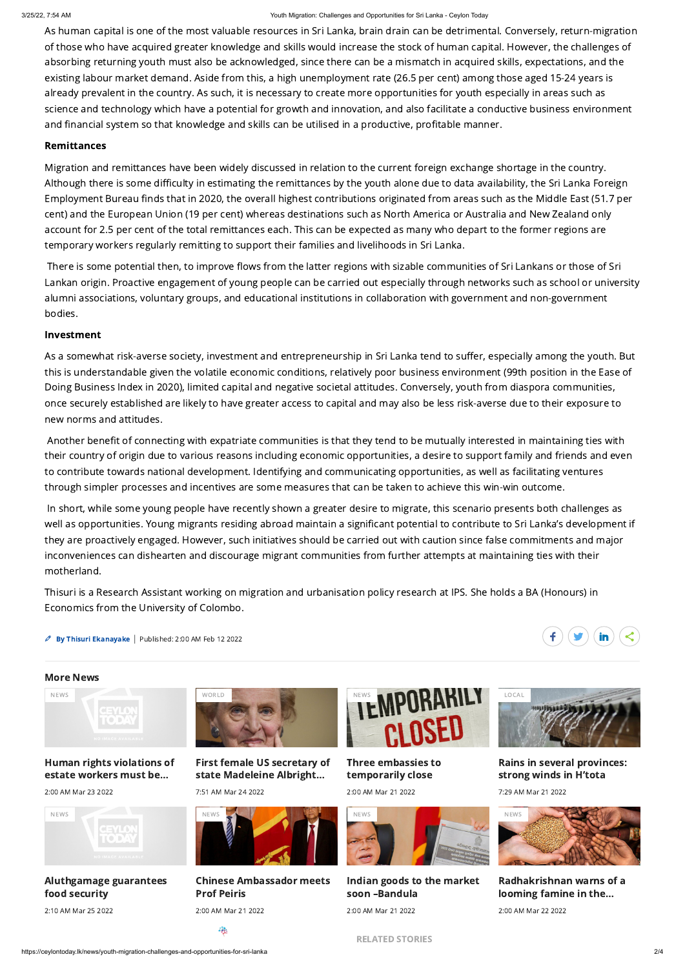#### 3/25/22, 7:54 AM Youth Migration: Challenges and Opportunities for Sri Lanka - Ceylon Today

As human capital is one of the most valuable resources in Sri Lanka, brain drain can be detrimental. Conversely, return-migration of those who have acquired greater knowledge and skills would increase the stock of human capital. However, the challenges of absorbing returning youth must also be acknowledged, since there can be a mismatch in acquired skills, expectations, and the existing labour market demand. Aside from this, a high unemployment rate (26.5 per cent) among those aged 15-24 years is already prevalent in the country. As such, it is necessary to create more opportunities for youth especially in areas such as science and technology which have a potential for growth and innovation, and also facilitate a conductive business environment and financial system so that knowledge and skills can be utilised in a productive, profitable manner.

## Remittances

Migration and remittances have been widely discussed in relation to the current foreign exchange shortage in the country. Although there is some difficulty in estimating the remittances by the youth alone due to data availability, the Sri Lanka Foreign Employment Bureau finds that in 2020, the overall highest contributions originated from areas such as the Middle East (51.7 per cent) and the European Union (19 per cent) whereas destinations such as North America or Australia and New Zealand only account for 2.5 per cent of the total remittances each. This can be expected as many who depart to the former regions are temporary workers regularly remitting to support their families and livelihoods in Sri Lanka.

There is some potential then, to improve flows from the latter regions with sizable communities of Sri Lankans or those of Sri Lankan origin. Proactive engagement of young people can be carried out especially through networks such as school or university alumni associations, voluntary groups, and educational institutions in collaboration with government and non-government bodies.

## Investment

As a somewhat risk-averse society, investment and entrepreneurship in Sri Lanka tend to suffer, especially among the youth. But this is understandable given the volatile economic conditions, relatively poor business environment (99th position in the Ease of Doing Business Index in 2020), limited capital and negative societal attitudes. Conversely, youth from diaspora communities, once securely established are likely to have greater access to capital and may also be less risk-averse due to their exposure to new norms and attitudes.

Another benefit of connecting with expatriate communities is that they tend to be mutually interested in maintaining ties with their country of origin due to various reasons including economic opportunities, a desire to support family and friends and even to contribute towards national development. Identifying and communicating opportunities, as well as facilitating ventures through simpler processes and incentives are some measures that can be taken to achieve this win-win outcome.

In short, while some young people have recently shown a greater desire to migrate, this scenario presents both challenges as well as opportunities. Young migrants residing abroad maintain a significant potential to contribute to Sri Lanka's development if they are proactively engaged. However, such initiatives should be carried out with caution since false commitments and major inconveniences can dishearten and discourage migrant communities from further attempts at maintaining ties with their motherland.

Thisuri is a Research Assistant working on migration and urbanisation policy research at IPS. She holds a BA (Honours) in Economics from the University of Colombo.

**By Thisuri Ekanayake** | Published: 2:00 AM Feb 12 2022



## More News







2:00 AM Mar 23 2022



First female US secretary of state [Madeleine](https://ceylontoday.lk/news/first-female-us-secretary-of-state-madeleine-albright-dies) Albright…



7:51 AM Mar 24 2022

## Three embassies to [temporarily](https://ceylontoday.lk/news/three-embassies-to-temporarily-close) close

2:00 AM Mar 21 2022

Rains in several [provinces:](https://ceylontoday.lk/news/rains-in-several-provinces-strong-winds-in-h-tota) strong winds in H'tota

7:29 AM Mar 21 2022

[Aluthgamage](https://ceylontoday.lk/news/aluthgamage-guarantees-food-security) guarantees food security

2:10 AM Mar 25 2022

Chinese [Ambassador](https://ceylontoday.lk/news/chinese-ambassador-meets-prof-peiris) meets Prof Peiris 2:00 AM Mar 21 2022

Indian goods to the market soon [–Bandula](https://ceylontoday.lk/news/indian-goods-to-the-market-soon-bandula) 2:00 AM Mar 21 2022

[Radhakrishnan](https://ceylontoday.lk/news/radhakrishnan-warns-of-a-looming-famine-in-the-country) warns of a looming famine in the…

2:00 AM Mar 22 2022

礁







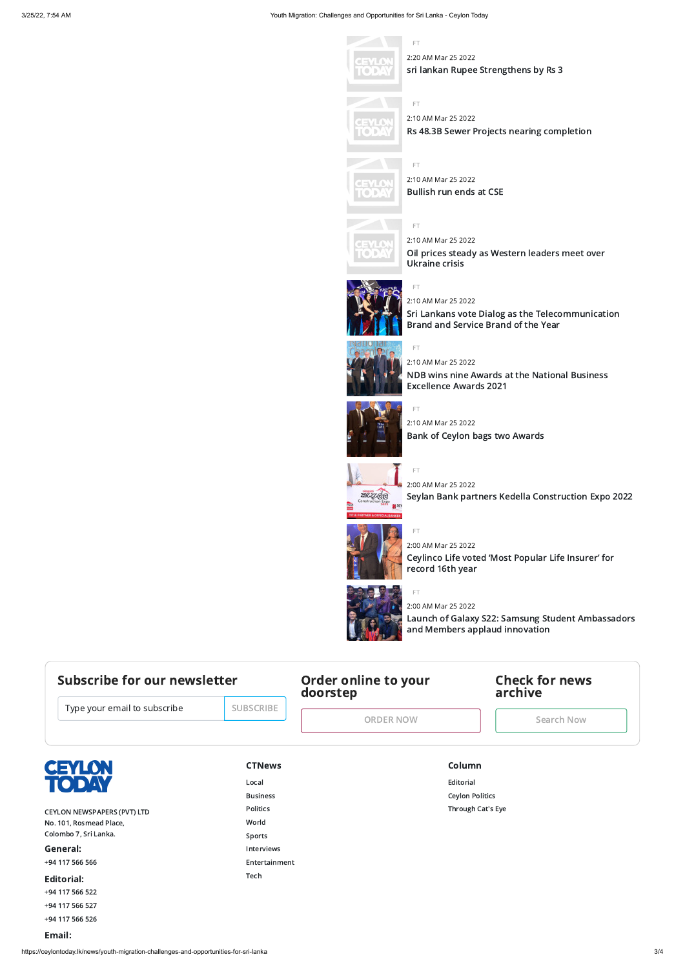#### 3/25/22, 7:54 AM Youth Migration: Challenges and Opportunities for Sri Lanka - Ceylon Today

#### https://ceylontoday.lk/news/youth-migration-challenges-and-opportunities-for-sri-lanka 3/4

FT

2:20 AM Mar 25 2022 sri lankan Rupee [Strengthens](https://ceylontoday.lk/news/sri-lankan-rupee-strengthens-by-rs-3) by Rs 3



FT



## 2:10 AM Mar 25 2022 Rs 48.3B Sewer Projects nearing [completion](https://ceylontoday.lk/news/rs-48-3b-sewer-projects-nearing-completion)



FT



2:10 AM Mar 25 2022

[Bullish](https://ceylontoday.lk/news/bullish-run-ends-at-cse-8) run ends at CSE

FT

## 2:10 AM Mar 25 2022

Oil prices steady as [Western](https://ceylontoday.lk/news/oil-prices-steady-as-western-leaders-meet-over-ukraine-crisis) leaders meet over Ukraine crisis



FT

## 2:10 AM Mar 25 2022

Sri Lankans vote Dialog as the [Telecommunication](https://ceylontoday.lk/news/sri-lankans-vote-dialog-as-the-telecommunication-brand-and-service-brand-of-the-year) Brand and Service Brand of the Year



## FT 2:10 AM Mar 25 2022

NDB wins nine Awards at the National Business [Excellence](https://ceylontoday.lk/news/ndb-wins-nine-awards-at-the-national-business-excellence-awards-2021) Awards 2021



## FT

2:10 AM Mar 25 2022 Bank of Ceylon bags two [Awards](https://ceylontoday.lk/news/bank-of-ceylon-bags-two-awards)



## **CTNews** [Local](https://ceylontoday.lk/category/ctnews/local) [Business](https://ceylontoday.lk/category/ctnews/business) [Politics](https://ceylontoday.lk/category/ctnews/politics) [World](https://ceylontoday.lk/category/ctnews/world) [Sports](https://ceylontoday.lk/category/ctnews/sports) [Interviews](https://ceylontoday.lk/category/ctnews/interviews) [Entertainment](https://ceylontoday.lk/category/ctnews/entertainment) [Tech](https://ceylontoday.lk/category/ctnews/science)

FT

## 2:00 AM Mar 25 2022

Seylan Bank partners Kedella [Construction](https://ceylontoday.lk/news/seylan-bank-partners-kedella-construction-expo-2022) Expo 2022



FT

## 2:00 AM Mar 25 2022 [Ceylinco](https://ceylontoday.lk/news/ceylinco-life-voted-most-popular-life-insurer-for-record-16th-year) Life voted 'Most Popular Life Insurer' for record 16th year



## FT 2:00 AM Mar 25 2022

Launch of Galaxy S22: Samsung Student [Ambassadors](https://ceylontoday.lk/news/launch-of-galaxy-s22-samsung-student-ambassadors-and-members-applaud-innovation) and Members applaud innovation

## Subscribe for our newsletter

Type your email to subscribe

## <span id="page-2-0"></span>Order online to your doorstep

[ORDER](#page-2-0) NOW

## <span id="page-2-1"></span>Check for news archive

[Search](#page-2-1) Now



CEYLON NEWSPAPERS (PVT) LTD No. 101, Rosmead Place, Colombo 7, Sri Lanka. General:

+94 [117](tel:+94 117 566 566) 566 566

Editorial:

+94 [117](tel:+94 117 566 522) 566 522

+94 [117](tel:+94 117 566 527) 566 527

+94 [117](tel:+94 117 566 526) 566 526

#### Email:

#### Column

[Editorial](https://ceylontoday.lk/category/column/editorial)

Ceylon [Politics](https://ceylontoday.lk/category/column/ceylon-politics)

[Through](https://ceylontoday.lk/category/column/cat-s-eye) Cat's Eye